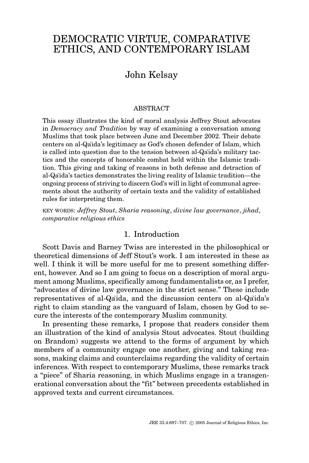# DEMOCRATIC VIRTUE, COMPARATIVE ETHICS, AND CONTEMPORARY ISLAM

# John Kelsay

#### ABSTRACT

This essay illustrates the kind of moral analysis Jeffrey Stout advocates in *Democracy and Tradition* by way of examining a conversation among Muslims that took place between June and December 2002. Their debate centers on al-Qa`ida's legitimacy as God's chosen defender of Islam, which is called into question due to the tension between al-Qa`ida's military tactics and the concepts of honorable combat held within the Islamic tradition. This giving and taking of reasons in both defense and detraction of al-Qa`ida's tactics demonstrates the living reality of Islamic tradition—the ongoing process of striving to discern God's will in light of communal agreements about the authority of certain texts and the validity of established rules for interpreting them.

KEY WORDS: *Jeffrey Stout*, *Sharia reasoning*, *divine law governance*, *jihad*, *comparative religious ethics*

## 1. Introduction

Scott Davis and Barney Twiss are interested in the philosophical or theoretical dimensions of Jeff Stout's work. I am interested in these as well. I think it will be more useful for me to present something different, however. And so I am going to focus on a description of moral argument among Muslims, specifically among fundamentalists or, as I prefer, "advocates of divine law governance in the strict sense." These include representatives of al-Qa`ida, and the discussion centers on al-Qa`ida's right to claim standing as the vanguard of Islam, chosen by God to secure the interests of the contemporary Muslim community.

In presenting these remarks, I propose that readers consider them an illustration of the kind of analysis Stout advocates. Stout (building on Brandom) suggests we attend to the forms of argument by which members of a community engage one another, giving and taking reasons, making claims and counterclaims regarding the validity of certain inferences. With respect to contemporary Muslims, these remarks track a "piece" of Sharia reasoning, in which Muslims engage in a transgenerational conversation about the "fit" between precedents established in approved texts and current circumstances.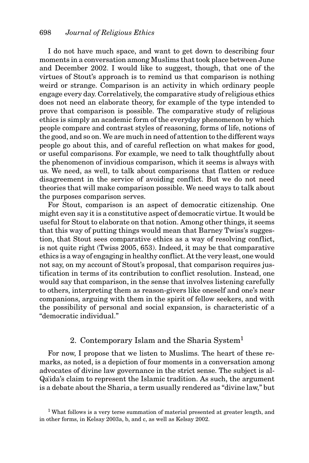I do not have much space, and want to get down to describing four moments in a conversation among Muslims that took place between June and December 2002. I would like to suggest, though, that one of the virtues of Stout's approach is to remind us that comparison is nothing weird or strange. Comparison is an activity in which ordinary people engage every day. Correlatively, the comparative study of religious ethics does not need an elaborate theory, for example of the type intended to prove that comparison is possible. The comparative study of religious ethics is simply an academic form of the everyday phenomenon by which people compare and contrast styles of reasoning, forms of life, notions of the good, and so on. We are much in need of attention to the different ways people go about this, and of careful reflection on what makes for good, or useful comparisons. For example, we need to talk thoughtfully about the phenomenon of invidious comparison, which it seems is always with us. We need, as well, to talk about comparisons that flatten or reduce disagreement in the service of avoiding conflict. But we do not need theories that will make comparison possible. We need ways to talk about the purposes comparison serves.

For Stout, comparison is an aspect of democratic citizenship. One might even say it is a constitutive aspect of democratic virtue. It would be useful for Stout to elaborate on that notion. Among other things, it seems that this way of putting things would mean that Barney Twiss's suggestion, that Stout sees comparative ethics as a way of resolving conflict, is not quite right (Twiss 2005, 653). Indeed, it may be that comparative ethics is a way of engaging in healthy conflict. At the very least, one would not say, on my account of Stout's proposal, that comparison requires justification in terms of its contribution to conflict resolution. Instead, one would say that comparison, in the sense that involves listening carefully to others, interpreting them as reason-givers like oneself and one's near companions, arguing with them in the spirit of fellow seekers, and with the possibility of personal and social expansion, is characteristic of a "democratic individual."

### 2. Contemporary Islam and the Sharia System<sup>1</sup>

For now, I propose that we listen to Muslims. The heart of these remarks, as noted, is a depiction of four moments in a conversation among advocates of divine law governance in the strict sense. The subject is al-Qa`ida's claim to represent the Islamic tradition. As such, the argument is a debate about the Sharia, a term usually rendered as "divine law," but

<sup>&</sup>lt;sup>1</sup> What follows is a very terse summation of material presented at greater length, and in other forms, in Kelsay 2003a, b, and c, as well as Kelsay 2002.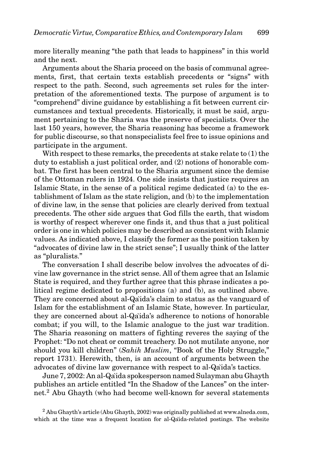more literally meaning "the path that leads to happiness" in this world and the next.

Arguments about the Sharia proceed on the basis of communal agreements, first, that certain texts establish precedents or "signs" with respect to the path. Second, such agreements set rules for the interpretation of the aforementioned texts. The purpose of argument is to "comprehend" divine guidance by establishing a fit between current circumstances and textual precedents. Historically, it must be said, argument pertaining to the Sharia was the preserve of specialists. Over the last 150 years, however, the Sharia reasoning has become a framework for public discourse, so that nonspecialists feel free to issue opinions and participate in the argument.

With respect to these remarks, the precedents at stake relate to (1) the duty to establish a just political order, and (2) notions of honorable combat. The first has been central to the Sharia argument since the demise of the Ottoman rulers in 1924. One side insists that justice requires an Islamic State, in the sense of a political regime dedicated (a) to the establishment of Islam as the state religion, and (b) to the implementation of divine law, in the sense that policies are clearly derived from textual precedents. The other side argues that God fills the earth, that wisdom is worthy of respect wherever one finds it, and thus that a just political order is one in which policies may be described as consistent with Islamic values. As indicated above, I classify the former as the position taken by "advocates of divine law in the strict sense"; I usually think of the latter as "pluralists."

The conversation I shall describe below involves the advocates of divine law governance in the strict sense. All of them agree that an Islamic State is required, and they further agree that this phrase indicates a political regime dedicated to propositions (a) and (b), as outlined above. They are concerned about al-Qa`ida's claim to status as the vanguard of Islam for the establishment of an Islamic State, however. In particular, they are concerned about al-Qa`ida's adherence to notions of honorable combat; if you will, to the Islamic analogue to the just war tradition. The Sharia reasoning on matters of fighting reveres the saying of the Prophet: "Do not cheat or commit treachery. Do not mutilate anyone, nor should you kill children" (*Sahih Muslim*, "Book of the Holy Struggle," report 1731). Herewith, then, is an account of arguments between the advocates of divine law governance with respect to al-Qa`ida's tactics.

June 7, 2002: An al-Qa`ida spokesperson named Sulayman abu Ghayth publishes an article entitled "In the Shadow of the Lances" on the internet.<sup>2</sup> Abu Ghayth (who had become well-known for several statements

 $2$  Abu Ghayth's article (Abu Ghayth, 2002) was originally published at www.alneda.com, which at the time was a frequent location for al-Qa`ida-related postings. The website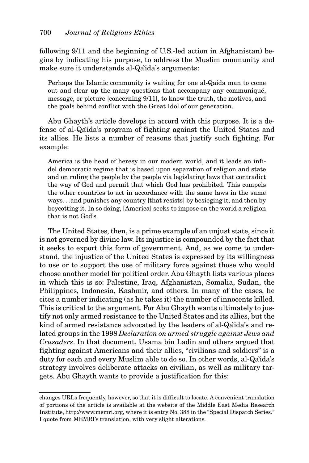following 9/11 and the beginning of U.S.-led action in Afghanistan) begins by indicating his purpose, to address the Muslim community and make sure it understands al-Qa`ida's arguments:

Perhaps the Islamic community is waiting for one al-Qaida man to come out and clear up the many questions that accompany any communique,´ message, or picture [concerning 9/11], to know the truth, the motives, and the goals behind conflict with the Great Idol of our generation.

Abu Ghayth's article develops in accord with this purpose. It is a defense of al-Qa`ida's program of fighting against the United States and its allies. He lists a number of reasons that justify such fighting. For example:

America is the head of heresy in our modern world, and it leads an infidel democratic regime that is based upon separation of religion and state and on ruling the people by the people via legislating laws that contradict the way of God and permit that which God has prohibited. This compels the other countries to act in accordance with the same laws in the same ways...and punishes any country [that resists] by besieging it, and then by boycotting it. In so doing, [America] seeks to impose on the world a religion that is not God's.

The United States, then, is a prime example of an unjust state, since it is not governed by divine law. Its injustice is compounded by the fact that it seeks to export this form of government. And, as we come to understand, the injustice of the United States is expressed by its willingness to use or to support the use of military force against those who would choose another model for political order. Abu Ghayth lists various places in which this is so: Palestine, Iraq, Afghanistan, Somalia, Sudan, the Philippines, Indonesia, Kashmir, and others. In many of the cases, he cites a number indicating (as he takes it) the number of innocents killed. This is critical to the argument. For Abu Ghayth wants ultimately to justify not only armed resistance to the United States and its allies, but the kind of armed resistance advocated by the leaders of al-Qa`ida's and related groups in the 1998 *Declaration on armed struggle against Jews and Crusaders*. In that document, Usama bin Ladin and others argued that fighting against Americans and their allies, "civilians and soldiers" is a duty for each and every Muslim able to do so. In other words, al-Qa`ida's strategy involves deliberate attacks on civilian, as well as military targets. Abu Ghayth wants to provide a justification for this:

changes URLs frequently, however, so that it is difficult to locate. A convenient translation of portions of the article is available at the website of the Middle East Media Research Institute, http://www.memri.org, where it is entry No. 388 in the "Special Dispatch Series." I quote from MEMRI's translation, with very slight alterations.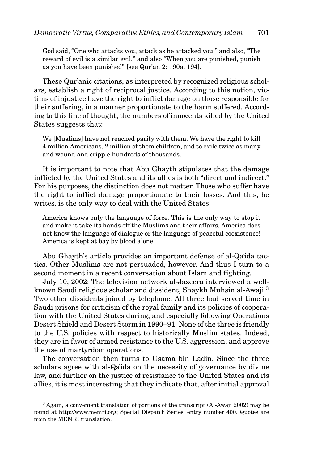God said, "One who attacks you, attack as he attacked you," and also, "The reward of evil is a similar evil," and also "When you are punished, punish as you have been punished" [see Qur'an 2: 190a, 194].

These Qur'anic citations, as interpreted by recognized religious scholars, establish a right of reciprocal justice. According to this notion, victims of injustice have the right to inflict damage on those responsible for their suffering, in a manner proportionate to the harm suffered. According to this line of thought, the numbers of innocents killed by the United States suggests that:

We [Muslims] have not reached parity with them. We have the right to kill 4 million Americans, 2 million of them children, and to exile twice as many and wound and cripple hundreds of thousands.

It is important to note that Abu Ghayth stipulates that the damage inflicted by the United States and its allies is both "direct and indirect." For his purposes, the distinction does not matter. Those who suffer have the right to inflict damage proportionate to their losses. And this, he writes, is the only way to deal with the United States:

America knows only the language of force. This is the only way to stop it and make it take its hands off the Muslims and their affairs. America does not know the language of dialogue or the language of peaceful coexistence! America is kept at bay by blood alone.

Abu Ghayth's article provides an important defense of al-Qa`ida tactics. Other Muslims are not persuaded, however. And thus I turn to a second moment in a recent conversation about Islam and fighting.

July 10, 2002: The television network al-Jazeera interviewed a wellknown Saudi religious scholar and dissident, Shaykh Muhsin al-Awaji.<sup>3</sup> Two other dissidents joined by telephone. All three had served time in Saudi prisons for criticism of the royal family and its policies of cooperation with the United States during, and especially following Operations Desert Shield and Desert Storm in 1990–91. None of the three is friendly to the U.S. policies with respect to historically Muslim states. Indeed, they are in favor of armed resistance to the U.S. aggression, and approve the use of martyrdom operations.

The conversation then turns to Usama bin Ladin. Since the three scholars agree with al-Qa`ida on the necessity of governance by divine law, and further on the justice of resistance to the United States and its allies, it is most interesting that they indicate that, after initial approval

<sup>3</sup> Again, a convenient translation of portions of the transcript (Al-Awaji 2002) may be found at http://www.memri.org; Special Dispatch Series, entry number 400. Quotes are from the MEMRI translation.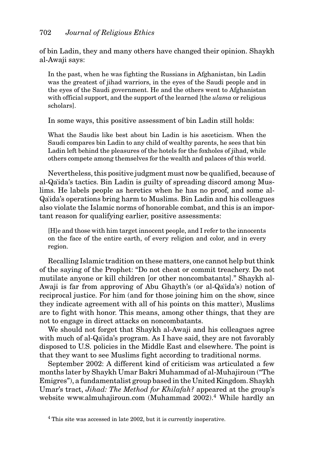of bin Ladin, they and many others have changed their opinion. Shaykh al-Awaji says:

In the past, when he was fighting the Russians in Afghanistan, bin Ladin was the greatest of jihad warriors, in the eyes of the Saudi people and in the eyes of the Saudi government. He and the others went to Afghanistan with official support, and the support of the learned [the *ulama* or religious scholars].

In some ways, this positive assessment of bin Ladin still holds:

What the Saudis like best about bin Ladin is his asceticism. When the Saudi compares bin Ladin to any child of wealthy parents, he sees that bin Ladin left behind the pleasures of the hotels for the foxholes of jihad, while others compete among themselves for the wealth and palaces of this world.

Nevertheless, this positive judgment must now be qualified, because of al-Qa`ida's tactics. Bin Ladin is guilty of spreading discord among Muslims. He labels people as heretics when he has no proof, and some al-Qa`ida's operations bring harm to Muslims. Bin Ladin and his colleagues also violate the Islamic norms of honorable combat, and this is an important reason for qualifying earlier, positive assessments:

[H]e and those with him target innocent people, and I refer to the innocents on the face of the entire earth, of every religion and color, and in every region.

Recalling Islamic tradition on these matters, one cannot help but think of the saying of the Prophet: "Do not cheat or commit treachery. Do not mutilate anyone or kill children [or other noncombatants]." Shaykh al-Awaji is far from approving of Abu Ghayth's (or al-Qa`ida's) notion of reciprocal justice. For him (and for those joining him on the show, since they indicate agreement with all of his points on this matter), Muslims are to fight with honor. This means, among other things, that they are not to engage in direct attacks on noncombatants.

We should not forget that Shaykh al-Awaji and his colleagues agree with much of al-Qa`ida's program. As I have said, they are not favorably disposed to U.S. policies in the Middle East and elsewhere. The point is that they want to see Muslims fight according to traditional norms.

September 2002: A different kind of criticism was articulated a few months later by Shaykh Umar Bakri Muhammad of al-Muhajiroun ("The Emigres"), a fundamentalist group based in the United Kingdom. Shaykh Umar's tract, *Jihad: The Method for Khilafah?* appeared at the group's website www.almuhajiroun.com (Muhammad 2002).<sup>4</sup> While hardly an

<sup>4</sup> This site was accessed in late 2002, but it is currently inoperative.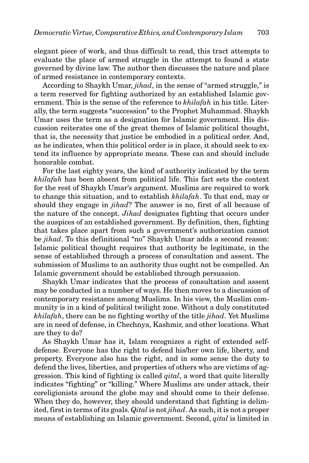elegant piece of work, and thus difficult to read, this tract attempts to evaluate the place of armed struggle in the attempt to found a state governed by divine law. The author then discusses the nature and place of armed resistance in contemporary contexts.

According to Shaykh Umar, *jihad*, in the sense of "armed struggle," is a term reserved for fighting authorized by an established Islamic government. This is the sense of the reference to *khilafah* in his title. Literally, the term suggests "succession" to the Prophet Muhammad. Shaykh Umar uses the term as a designation for Islamic government. His discussion reiterates one of the great themes of Islamic political thought, that is, the necessity that justice be embodied in a political order. And, as he indicates, when this political order is in place, it should seek to extend its influence by appropriate means. These can and should include honorable combat.

For the last eighty years, the kind of authority indicated by the term *khilafah* has been absent from political life. This fact sets the context for the rest of Shaykh Umar's argument. Muslims are required to work to change this situation, and to establish *khilafah*. To that end, may or should they engage in *jihad*? The answer is no, first of all because of the nature of the concept. *Jihad* designates fighting that occurs under the auspices of an established government. By definition, then, fighting that takes place apart from such a government's authorization cannot be *jihad*. To this definitional "no" Shaykh Umar adds a second reason: Islamic political thought requires that authority be legitimate, in the sense of established through a process of consultation and assent. The submission of Muslims to an authority thus ought not be compelled. An Islamic government should be established through persuasion.

Shaykh Umar indicates that the process of consultation and assent may be conducted in a number of ways. He then moves to a discussion of contemporary resistance among Muslims. In his view, the Muslim community is in a kind of political twilight zone. Without a duly constituted *khilafah*, there can be no fighting worthy of the title *jihad*. Yet Muslims are in need of defense, in Chechnya, Kashmir, and other locations. What are they to do?

As Shaykh Umar has it, Islam recognizes a right of extended selfdefense. Everyone has the right to defend his/her own life, liberty, and property. Everyone also has the right, and in some sense the duty to defend the lives, liberties, and properties of others who are victims of aggression. This kind of fighting is called *qital*, a word that quite literally indicates "fighting" or "killing." Where Muslims are under attack, their coreligionists around the globe may and should come to their defense. When they do, however, they should understand that fighting is delimited, first in terms of its goals. *Qital* is not*jihad*. As such, it is not a proper means of establishing an Islamic government. Second, *qital* is limited in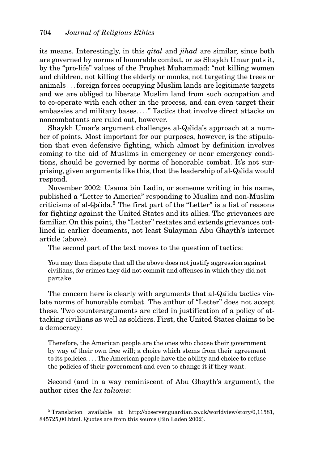its means. Interestingly, in this *qital* and *jihad* are similar, since both are governed by norms of honorable combat, or as Shaykh Umar puts it, by the "pro-life" values of the Prophet Muhammad: "not killing women and children, not killing the elderly or monks, not targeting the trees or animals *...*foreign forces occupying Muslim lands are legitimate targets and we are obliged to liberate Muslim land from such occupation and to co-operate with each other in the process, and can even target their embassies and military bases. *...*" Tactics that involve direct attacks on noncombatants are ruled out, however.

Shaykh Umar's argument challenges al-Qa`ida's approach at a number of points. Most important for our purposes, however, is the stipulation that even defensive fighting, which almost by definition involves coming to the aid of Muslims in emergency or near emergency conditions, should be governed by norms of honorable combat. It's not surprising, given arguments like this, that the leadership of al-Qa`ida would respond.

November 2002: Usama bin Ladin, or someone writing in his name, published a "Letter to America" responding to Muslim and non-Muslim criticisms of al-Qa`ida.<sup>5</sup> The first part of the "Letter" is a list of reasons for fighting against the United States and its allies. The grievances are familiar. On this point, the "Letter" restates and extends grievances outlined in earlier documents, not least Sulayman Abu Ghayth's internet article (above).

The second part of the text moves to the question of tactics:

You may then dispute that all the above does not justify aggression against civilians, for crimes they did not commit and offenses in which they did not partake.

The concern here is clearly with arguments that al-Qa`ida tactics violate norms of honorable combat. The author of "Letter" does not accept these. Two counterarguments are cited in justification of a policy of attacking civilians as well as soldiers. First, the United States claims to be a democracy:

Therefore, the American people are the ones who choose their government by way of their own free will; a choice which stems from their agreement to its policies. ... The American people have the ability and choice to refuse the policies of their government and even to change it if they want.

Second (and in a way reminiscent of Abu Ghayth's argument), the author cites the *lex talionis*:

<sup>5</sup> Translation available at http://observer.guardian.co.uk/worldview/story/0,11581, 845725,00.html. Quotes are from this source (Bin Laden 2002).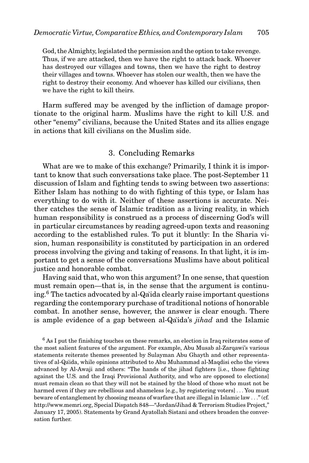God, the Almighty, legislated the permission and the option to take revenge. Thus, if we are attacked, then we have the right to attack back. Whoever has destroyed our villages and towns, then we have the right to destroy their villages and towns. Whoever has stolen our wealth, then we have the right to destroy their economy. And whoever has killed our civilians, then we have the right to kill theirs.

Harm suffered may be avenged by the infliction of damage proportionate to the original harm. Muslims have the right to kill U.S. and other "enemy" civilians, because the United States and its allies engage in actions that kill civilians on the Muslim side.

## 3. Concluding Remarks

What are we to make of this exchange? Primarily, I think it is important to know that such conversations take place. The post-September 11 discussion of Islam and fighting tends to swing between two assertions: Either Islam has nothing to do with fighting of this type, or Islam has everything to do with it. Neither of these assertions is accurate. Neither catches the sense of Islamic tradition as a living reality, in which human responsibility is construed as a process of discerning God's will in particular circumstances by reading agreed-upon texts and reasoning according to the established rules. To put it bluntly: In the Sharia vision, human responsibility is constituted by participation in an ordered process involving the giving and taking of reasons. In that light, it is important to get a sense of the conversations Muslims have about political justice and honorable combat.

Having said that, who won this argument? In one sense, that question must remain open—that is, in the sense that the argument is continuing.<sup>6</sup> The tactics advocated by al-Qa`ida clearly raise important questions regarding the contemporary purchase of traditional notions of honorable combat. In another sense, however, the answer is clear enough. There is ample evidence of a gap between al-Qa`ida's *jihad* and the Islamic

<sup>6</sup> As I put the finishing touches on these remarks, an election in Iraq reiterates some of the most salient features of the argument. For example, Abu Musab al-Zarqawi's various statements reiterate themes presented by Sulayman Abu Ghayth and other representatives of al-Qa`ida, while opinions attributed to Abu Muhammad al-Maqdisi echo the views advanced by Al-Awaji and others: "The hands of the jihad fighters [i.e., those fighting against the U.S. and the Iraqi Provisional Authority, and who are opposed to elections] must remain clean so that they will not be stained by the blood of those who must not be harmed even if they are rebellious and shameless [e.g., by registering voters]*...* You must beware of entanglement by choosing means of warfare that are illegal in Islamic law *...*" (cf. http://www.memri.org, Special Dispatch 848—"Jordan/Jihad & Terrorism Studies Project," January 17, 2005). Statements by Grand Ayatollah Sistani and others broaden the conversation further.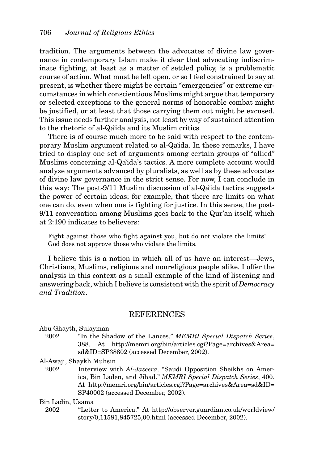tradition. The arguments between the advocates of divine law governance in contemporary Islam make it clear that advocating indiscriminate fighting, at least as a matter of settled policy, is a problematic course of action. What must be left open, or so I feel constrained to say at present, is whether there might be certain "emergencies" or extreme circumstances in which conscientious Muslims might argue that temporary or selected exceptions to the general norms of honorable combat might be justified, or at least that those carrying them out might be excused. This issue needs further analysis, not least by way of sustained attention to the rhetoric of al-Qa`ida and its Muslim critics.

There is of course much more to be said with respect to the contemporary Muslim argument related to al-Qa`ida. In these remarks, I have tried to display one set of arguments among certain groups of "allied" Muslims concerning al-Qa`ida's tactics. A more complete account would analyze arguments advanced by pluralists, as well as by these advocates of divine law governance in the strict sense. For now, I can conclude in this way: The post-9/11 Muslim discussion of al-Qa`ida tactics suggests the power of certain ideas; for example, that there are limits on what one can do, even when one is fighting for justice. In this sense, the post-9/11 conversation among Muslims goes back to the Qur'an itself, which at 2:190 indicates to believers:

Fight against those who fight against you, but do not violate the limits! God does not approve those who violate the limits.

I believe this is a notion in which all of us have an interest—Jews, Christians, Muslims, religious and nonreligious people alike. I offer the analysis in this context as a small example of the kind of listening and answering back, which I believe is consistent with the spirit of *Democracy and Tradition*.

### **REFERENCES**

Abu Ghayth, Sulayman

2002 "In the Shadow of the Lances." *MEMRI Special Dispatch Series*, 388. At http://memri.org/bin/articles.cgi?Page=archives&Area= sd&ID=SP38802 (accessed December, 2002).

Al-Awaji, Shaykh Muhsin

2002 Interview with *Al-Jazeera*. "Saudi Opposition Sheikhs on America, Bin Laden, and Jihad." *MEMRI Special Dispatch Series*, 400. At http://memri.org/bin/articles.cgi?Page=archives&Area=sd&ID= SP40002 (accessed December, 2002).

Bin Ladin, Usama

2002 "Letter to America." At http://observer.guardian.co.uk/worldview/ story/0,11581,845725,00.html (accessed December, 2002).